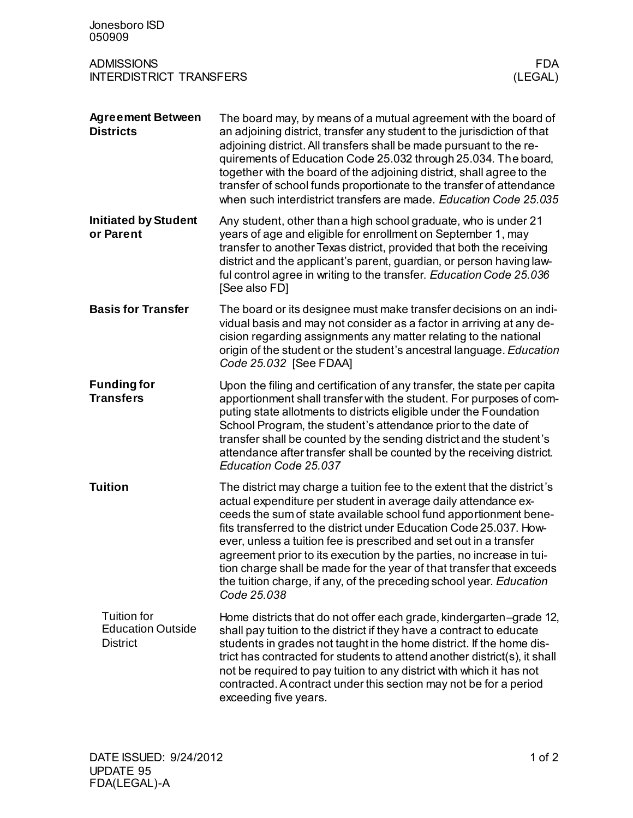| Jonesboro ISD<br>050909                                                      |                                                                                                                                                                                                                                                                                                                                                                                                                                                                                                                                                                                                 |
|------------------------------------------------------------------------------|-------------------------------------------------------------------------------------------------------------------------------------------------------------------------------------------------------------------------------------------------------------------------------------------------------------------------------------------------------------------------------------------------------------------------------------------------------------------------------------------------------------------------------------------------------------------------------------------------|
| <b>ADMISSIONS</b><br><b>FDA</b><br><b>INTERDISTRICT TRANSFERS</b><br>(LEGAL) |                                                                                                                                                                                                                                                                                                                                                                                                                                                                                                                                                                                                 |
| <b>Agreement Between</b><br><b>Districts</b>                                 | The board may, by means of a mutual agreement with the board of<br>an adjoining district, transfer any student to the jurisdiction of that<br>adjoining district. All transfers shall be made pursuant to the re-<br>quirements of Education Code 25.032 through 25.034. The board,<br>together with the board of the adjoining district, shall agree to the<br>transfer of school funds proportionate to the transfer of attendance<br>when such interdistrict transfers are made. Education Code 25.035                                                                                       |
| <b>Initiated by Student</b><br>or Parent                                     | Any student, other than a high school graduate, who is under 21<br>years of age and eligible for enrollment on September 1, may<br>transfer to another Texas district, provided that both the receiving<br>district and the applicant's parent, guardian, or person having law-<br>ful control agree in writing to the transfer. Education Code 25.036<br>[See also FD]                                                                                                                                                                                                                         |
| <b>Basis for Transfer</b>                                                    | The board or its designee must make transfer decisions on an indi-<br>vidual basis and may not consider as a factor in arriving at any de-<br>cision regarding assignments any matter relating to the national<br>origin of the student or the student's ancestral language. Education<br>Code 25.032 [See FDAA]                                                                                                                                                                                                                                                                                |
| <b>Funding for</b><br><b>Transfers</b>                                       | Upon the filing and certification of any transfer, the state per capita<br>apportionment shall transfer with the student. For purposes of com-<br>puting state allotments to districts eligible under the Foundation<br>School Program, the student's attendance prior to the date of<br>transfer shall be counted by the sending district and the student's<br>attendance after transfer shall be counted by the receiving district.<br>Education Code 25.037                                                                                                                                  |
| <b>Tuition</b>                                                               | The district may charge a tuition fee to the extent that the district's<br>actual expenditure per student in average daily attendance ex-<br>ceeds the sum of state available school fund apportionment bene-<br>fits transferred to the district under Education Code 25.037. How-<br>ever, unless a tuition fee is prescribed and set out in a transfer<br>agreement prior to its execution by the parties, no increase in tui-<br>tion charge shall be made for the year of that transfer that exceeds<br>the tuition charge, if any, of the preceding school year. Education<br>Code 25.038 |
| <b>Tuition for</b><br><b>Education Outside</b><br><b>District</b>            | Home districts that do not offer each grade, kindergarten–grade 12,<br>shall pay tuition to the district if they have a contract to educate<br>students in grades not taught in the home district. If the home dis-<br>trict has contracted for students to attend another district(s), it shall<br>not be required to pay tuition to any district with which it has not<br>contracted. A contract under this section may not be for a period<br>exceeding five years.                                                                                                                          |